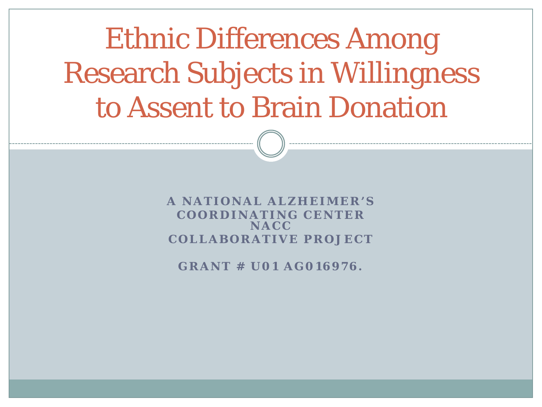Ethnic Differences Among Research Subjects in Willingness to Assent to Brain Donation

> **A NATIONAL ALZHEIMER'S COORDINATING CENTER NACC COLLABORATIVE PROJECT**

**GRANT # U01 AG016976.**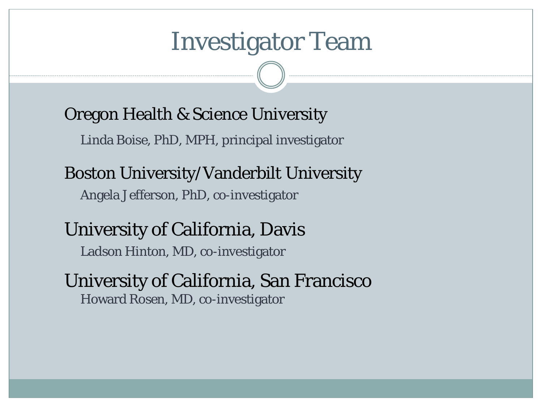### Investigator Team

Oregon Health & Science University

Linda Boise, PhD, MPH, principal investigator

Boston University/Vanderbilt University

Angela Jefferson, PhD, co-investigator

#### University of California, Davis

Ladson Hinton, MD, co-investigator

#### University of California, San Francisco Howard Rosen, MD, co-investigator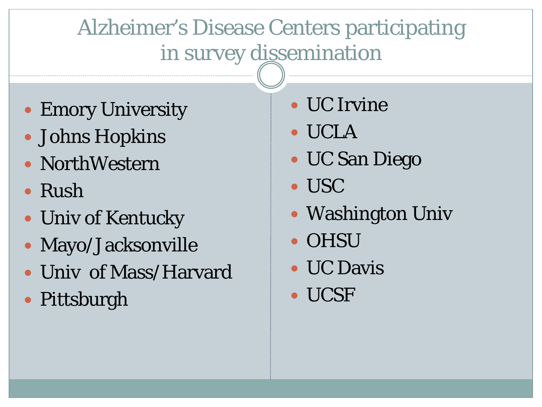### Alzheimer's Disease Centers participating in survey dissemination

- Emory University
- Johns Hopkins
- NorthWestern
- Rush
- Univ of Kentucky
- Mayo/Jacksonville
- Univ of Mass/Harvard
- Pittsburgh
- UC Irvine
- UCLA
- UC San Diego
- USC
- Washington Univ
- OHSU
- UC Davis
- UCSF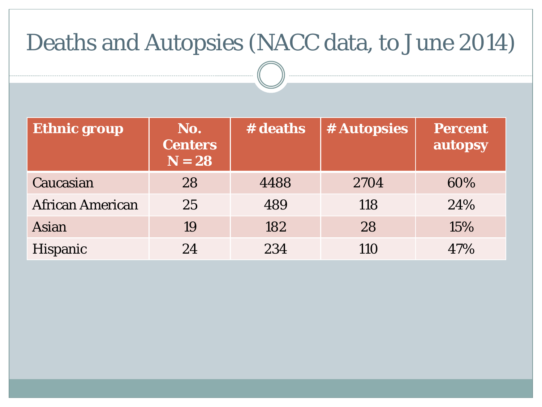### Deaths and Autopsies (NACC data, to June 2014)

| <b>Ethnic group</b>     | No.<br><b>Centers</b><br>$N = 28$ | # deaths | # Autopsies | <b>Percent</b><br>autopsy |
|-------------------------|-----------------------------------|----------|-------------|---------------------------|
| Caucasian               | 28                                | 4488     | 2704        | 60%                       |
| <b>African American</b> | 25                                | 489      | 118         | 24%                       |
| Asian                   | 19                                | 182      | 28          | 15%                       |
| <b>Hispanic</b>         | 24                                | 234      | 110         | 47%                       |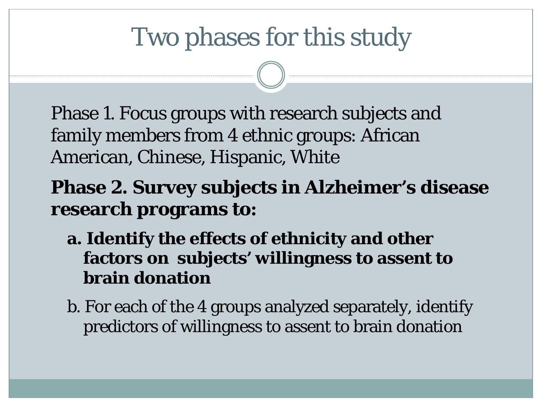# Two phases for this study

Phase 1. Focus groups with research subjects and family members from 4 ethnic groups: African American, Chinese, Hispanic, White

#### **Phase 2. Survey subjects in Alzheimer's disease research programs to:**

- **a. Identify the effects of ethnicity and other factors on subjects' willingness to assent to brain donation**
- b. For each of the 4 groups analyzed separately, identify predictors of willingness to assent to brain donation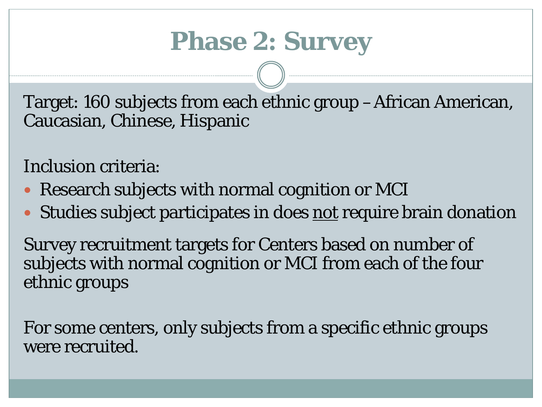# **Phase 2: Survey**

Target: 160 subjects from each ethnic group –African American, Caucasian, Chinese, Hispanic

Inclusion criteria:

- Research subjects with normal cognition or MCI
- Studies subject participates in does not require brain donation

Survey recruitment targets for Centers based on number of subjects with normal cognition or MCI from each of the four ethnic groups

For some centers, only subjects from a specific ethnic groups were recruited.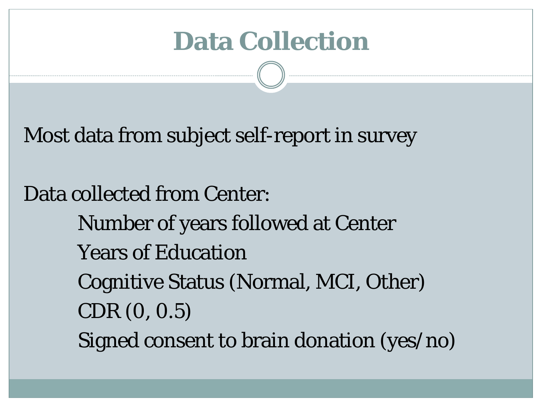### **Data Collection**

Most data from subject self-report in survey

Data collected from Center: Number of years followed at Center Years of Education Cognitive Status (Normal, MCI, Other) CDR (0, 0.5) Signed consent to brain donation (yes/no)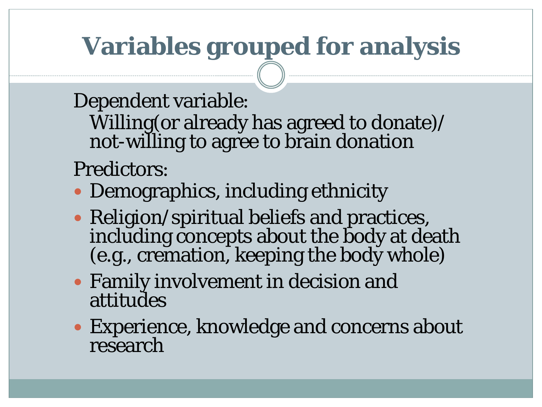# **Variables grouped for analysis**

#### Dependent variable:

Willing(or already has agreed to donate)/ not-willing to agree to brain donation

#### Predictors:

- Demographics, including ethnicity
- Religion/spiritual beliefs and practices, including concepts about the body at death (e.g., cremation, keeping the body whole)
- Family involvement in decision and attitudes
- Experience, knowledge and concerns about research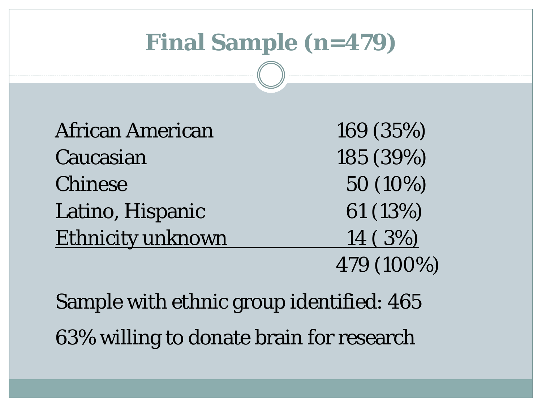### **Final Sample (n=479)**

| <b>African American</b>  | 169 (35%)  |
|--------------------------|------------|
| Caucasian                | 185 (39%)  |
| <b>Chinese</b>           | 50 (10%)   |
| Latino, Hispanic         | 61 (13%)   |
| <b>Ethnicity unknown</b> | 14 (3%)    |
|                          | 479 (100%) |

Sample with ethnic group identified: 465 63% willing to donate brain for research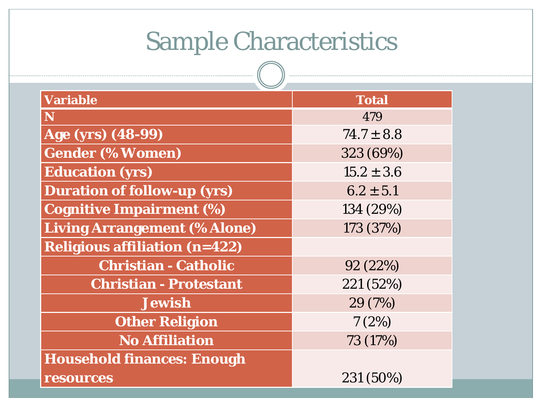# Sample Characteristics

 $\sqrt{2}$ 

| <b>Variable</b>                      | <b>Total</b>   |
|--------------------------------------|----------------|
| N                                    | 479            |
| Age (yrs) (48-99)                    | $74.7 \pm 8.8$ |
| <b>Gender (% Women)</b>              | 323 (69%)      |
| <b>Education (yrs)</b>               | $15.2 \pm 3.6$ |
| <b>Duration of follow-up (yrs)</b>   | $6.2 \pm 5.1$  |
| <b>Cognitive Impairment (%)</b>      | 134 (29%)      |
| <b>Living Arrangement (% Alone)</b>  | 173 (37%)      |
| <b>Religious affiliation (n=422)</b> |                |
| <b>Christian - Catholic</b>          | 92(22%)        |
| <b>Christian - Protestant</b>        | 221 (52%)      |
| <b>Jewish</b>                        | 29 (7%)        |
| <b>Other Religion</b>                | 7(2%)          |
| <b>No Affiliation</b>                | 73 (17%)       |
| <b>Household finances: Enough</b>    |                |
| resources                            | 231 (50%)      |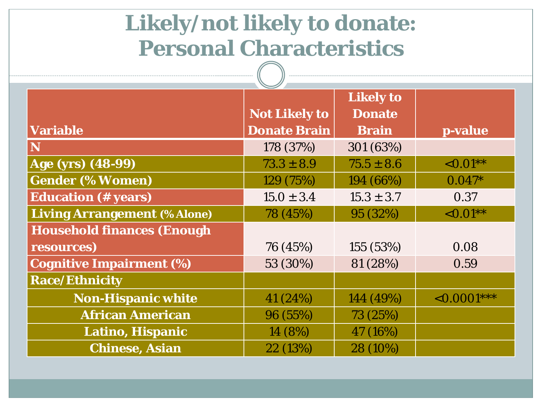# **Likely/not likely to donate: Personal Characteristics**

|                                     | <b>Not Likely to</b> | <b>Likely to</b><br><b>Donate</b> |                  |
|-------------------------------------|----------------------|-----------------------------------|------------------|
| <b>Variable</b>                     | <b>Donate Brain</b>  | <b>Brain</b>                      | p-value          |
| N                                   | 178 (37%)            | 301 (63%)                         |                  |
| Age (yrs) (48-99)                   | $73.3 \pm 8.9$       | $75.5 \pm 8.6$                    | ${<}0.01**$      |
| <b>Gender (% Women)</b>             | 129 (75%)            | 194 (66%)                         | $0.047*$         |
| <b>Education</b> (# years)          | $15.0 \pm 3.4$       | $15.3 \pm 3.7$                    | 0.37             |
| <b>Living Arrangement (% Alone)</b> | 78 (45%)             | 95 (32%)                          | ${<}0.01**$      |
| <b>Household finances (Enough</b>   |                      |                                   |                  |
| resources)                          | 76 (45%)             | 155 (53%)                         | 0.08             |
| <b>Cognitive Impairment (%)</b>     | 53 (30%)             | 81 (28%)                          | 0.59             |
| <b>Race/Ethnicity</b>               |                      |                                   |                  |
| <b>Non-Hispanic white</b>           | 41 (24%)             | 144 (49%)                         | $\leq 0.0001***$ |
| <b>African American</b>             | 96 (55%)             | 73 (25%)                          |                  |
| Latino, Hispanic                    | 14 (8%)              | 47 (16%)                          |                  |
| <b>Chinese, Asian</b>               | 22 (13%)             | 28 (10%)                          |                  |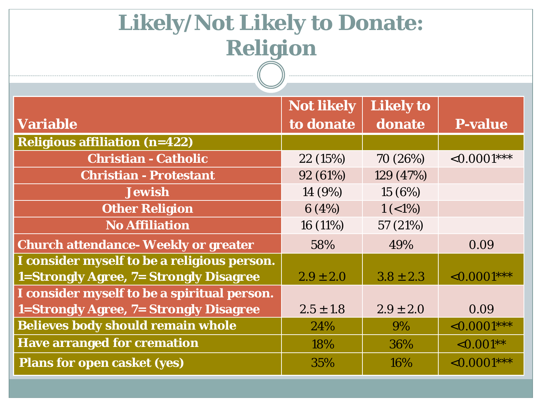### **Likely/Not Likely to Donate: Religion**

|                                               | <b>Not likely</b> | <b>Likely to</b> |                  |
|-----------------------------------------------|-------------------|------------------|------------------|
| <b>Variable</b>                               | to donate         | donate           | <b>P-value</b>   |
| <b>Religious affiliation (n=422)</b>          |                   |                  |                  |
| <b>Christian - Catholic</b>                   | 22(15%)           | 70 (26%)         | $< 0.0001***$    |
| <b>Christian - Protestant</b>                 | 92 (61%)          | 129 (47%)        |                  |
| <b>Jewish</b>                                 | 14 (9%)           | 15(6%)           |                  |
| <b>Other Religion</b>                         | 6(4%)             | $1 (< 1\%)$      |                  |
| <b>No Affiliation</b>                         | 16 (11%)          | 57 (21%)         |                  |
| <b>Church attendance- Weekly or greater</b>   | 58%               | 49%              | 0.09             |
| I consider myself to be a religious person.   |                   |                  |                  |
| <b>1=Strongly Agree, 7= Strongly Disagree</b> | $2.9 \pm 2.0$     | $3.8 \pm 2.3$    | $\leq 0.0001***$ |
| I consider myself to be a spiritual person.   |                   |                  |                  |
| <b>1=Strongly Agree, 7= Strongly Disagree</b> | $2.5 \pm 1.8$     | $2.9 \pm 2.0$    | 0.09             |
| <b>Believes body should remain whole</b>      | 24%               | 9%               | $< 0.0001***$    |
| <b>Have arranged for cremation</b>            | 18%               | 36%              | $< 0.001**$      |
| <b>Plans for open casket (yes)</b>            | 35%               | 16%              | $\leq 0.0001***$ |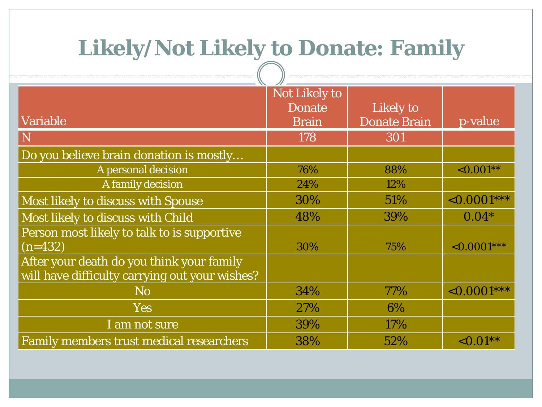#### **Likely/Not Likely to Donate: Family**

|                                                                                             | <b>Not Likely to</b><br><b>Donate</b> | Likely to           |                  |
|---------------------------------------------------------------------------------------------|---------------------------------------|---------------------|------------------|
| Variable                                                                                    | <b>Brain</b>                          | <b>Donate Brain</b> | p-value          |
| $\overline{\rm N}$                                                                          | 178                                   | 301                 |                  |
| Do you believe brain donation is mostly                                                     |                                       |                     |                  |
| A personal decision                                                                         | 76%                                   | 88%                 | $\leq 0.001**$   |
| A family decision                                                                           | 24%                                   | 12%                 |                  |
| <b>Most likely to discuss with Spouse</b>                                                   | 30%                                   | 51\%                | $\leq 0.0001***$ |
| Most likely to discuss with Child                                                           | 48%                                   | 39%                 | $0.04*$          |
| Person most likely to talk to is supportive<br>$(n=432)$                                    | 30%                                   | 75%                 | $\sim 0.0001***$ |
| After your death do you think your family<br>will have difficulty carrying out your wishes? |                                       |                     |                  |
| <b>No</b>                                                                                   | 34%                                   | 77%                 | $\leq 0.0001***$ |
| <b>Yes</b>                                                                                  | 27%                                   | 6%                  |                  |
| I am not sure                                                                               | 39%                                   | 17%                 |                  |
| <b>Family members trust medical researchers</b>                                             | 38%                                   | 52%                 | ${<}0.01**$      |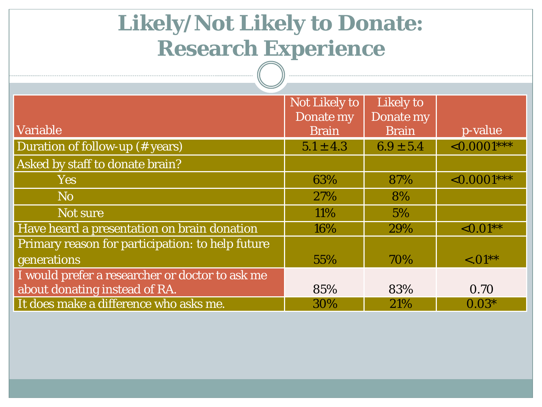### **Likely/Not Likely to Donate: Research Experience**

|                                                  | <b>Not Likely to</b><br>Donate my | Likely to<br>Donate my |                  |
|--------------------------------------------------|-----------------------------------|------------------------|------------------|
| <b>Variable</b>                                  | <b>Brain</b>                      | <b>Brain</b>           | p-value          |
| Duration of follow-up (# years)                  | $5.1 \pm 4.3$                     | $6.9 \pm 5.4$          | $\sim 0.0001***$ |
| Asked by staff to donate brain?                  |                                   |                        |                  |
| <b>Yes</b>                                       | 63%                               | 87%                    | $\leq 0.0001***$ |
| N <sub>o</sub>                                   | 27%                               | 8%                     |                  |
| Not sure                                         | 11%                               | 5%                     |                  |
| Have heard a presentation on brain donation      | 16%                               | 29%                    | $\leq 0.01**$    |
| Primary reason for participation: to help future |                                   |                        |                  |
| generations                                      | 55%                               | 70%                    | $\leq 01**$      |
| I would prefer a researcher or doctor to ask me  |                                   |                        |                  |
| about donating instead of RA.                    | 85%                               | 83%                    | 0.70             |
| It does make a difference who asks me.           | 30%                               | 21%                    | $0.03*$          |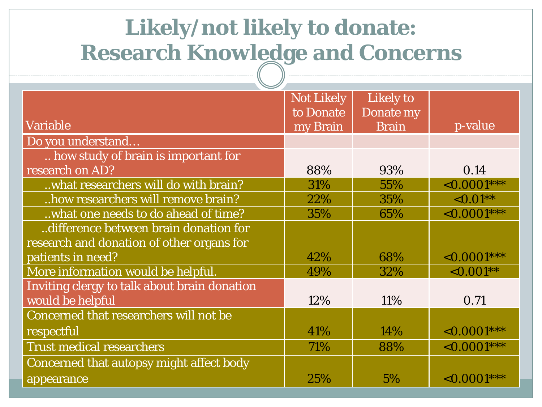### **Likely/not likely to donate: Research Knowledge and Concerns**

|                                              | <b>Not Likely</b> | Likely to    |                  |
|----------------------------------------------|-------------------|--------------|------------------|
|                                              | to Donate         | Donate my    |                  |
| <b>Variable</b>                              | my Brain          | <b>Brain</b> | p-value          |
| Do you understand                            |                   |              |                  |
| how study of brain is important for          |                   |              |                  |
| research on AD?                              | 88%               | 93%          | 0.14             |
| what researchers will do with brain?         | 31%               | 55%          | $\leq 0.0001***$ |
| how researchers will remove brain?           | 22%               | 35%          | $\sim 0.01**$    |
| what one needs to do ahead of time?          | 35%               | 65%          | $\leq 0.0001***$ |
| difference between brain donation for        |                   |              |                  |
| research and donation of other organs for    |                   |              |                  |
| patients in need?                            | 42%               | 68%          | $\{0.0001***$    |
| More information would be helpful.           | 49%               | 32%          | $\leq 0.001**$   |
| Inviting clergy to talk about brain donation |                   |              |                  |
| would be helpful                             | 12%               | 11%          | 0.71             |
| Concerned that researchers will not be       |                   |              |                  |
| respectful                                   | 41%               | 14%          | ${<}0.0001***$   |
| <b>Trust medical researchers</b>             | 71%               | 88%          | $\leq 0.0001***$ |
| Concerned that autopsy might affect body     |                   |              |                  |
| appearance                                   | 25%               | 5%           | $\{0.0001***$    |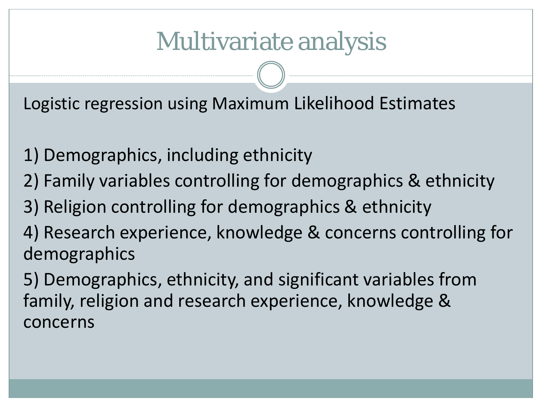# Multivariate analysis

Logistic regression using Maximum Likelihood Estimates

- 1) Demographics, including ethnicity
- 2) Family variables controlling for demographics & ethnicity
- 3) Religion controlling for demographics & ethnicity
- 4) Research experience, knowledge & concerns controlling for demographics
- 5) Demographics, ethnicity, and significant variables from family, religion and research experience, knowledge & concerns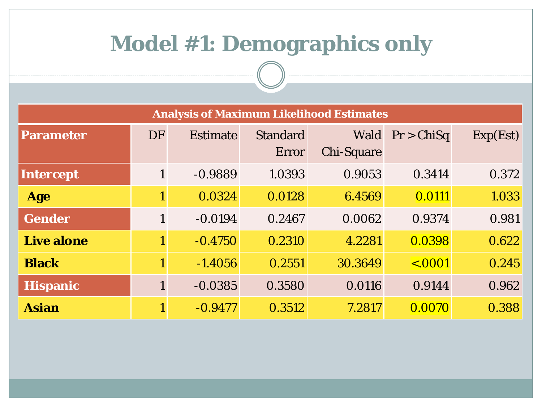#### **Model #1: Demographics only**

| <b>Analysis of Maximum Likelihood Estimates</b> |              |                 |                          |                                  |             |          |  |  |  |  |
|-------------------------------------------------|--------------|-----------------|--------------------------|----------------------------------|-------------|----------|--|--|--|--|
| <b>Parameter</b>                                | <b>DF</b>    | <b>Estimate</b> | <b>Standard</b><br>Error | <b>Wald</b><br><b>Chi-Square</b> | Pr > ChiSq  | Exp(Est) |  |  |  |  |
| Intercept                                       | $\mathbf{1}$ | $-0.9889$       | 1.0393                   | 0.9053                           | 0.3414      | 0.372    |  |  |  |  |
| Age                                             | 1            | 0.0324          | 0.0128                   | 6.4569                           | 0.0111      | 1.033    |  |  |  |  |
| <b>Gender</b>                                   | $\mathbf{1}$ | $-0.0194$       | 0.2467                   | 0.0062                           | 0.9374      | 0.981    |  |  |  |  |
| <b>Live alone</b>                               |              | $-0.4750$       | 0.2310                   | 4.2281                           | 0.0398      | 0.622    |  |  |  |  |
| <b>Black</b>                                    |              | $-1.4056$       | 0.2551                   | 30.3649                          | $\sim 0001$ | 0.245    |  |  |  |  |
| <b>Hispanic</b>                                 |              | $-0.0385$       | 0.3580                   | 0.0116                           | 0.9144      | 0.962    |  |  |  |  |
| <b>Asian</b>                                    |              | $-0.9477$       | 0.3512                   | 7.2817                           | 0.0070      | 0.388    |  |  |  |  |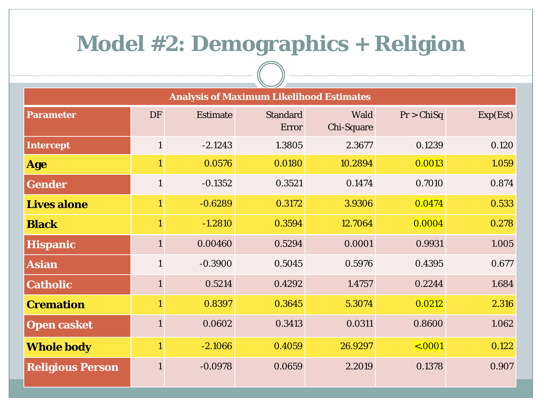#### **Model #2: Demographics + Religion**

| <b>Analysis of Maximum Likelihood Estimates</b> |              |                 |                          |                           |               |          |  |  |  |
|-------------------------------------------------|--------------|-----------------|--------------------------|---------------------------|---------------|----------|--|--|--|
| <b>Parameter</b>                                | <b>DF</b>    | <b>Estimate</b> | <b>Standard</b><br>Error | Wald<br><b>Chi-Square</b> | Pr > ChiSq    | Exp(Est) |  |  |  |
| Intercept                                       | $\mathbf{1}$ | $-2.1243$       | 1.3805                   | 2.3677                    | 0.1239        | 0.120    |  |  |  |
| <b>Age</b>                                      | $\mathbf{1}$ | 0.0576          | 0.0180                   | 10.2894                   | 0.0013        | 1.059    |  |  |  |
| <b>Gender</b>                                   | $\mathbf{1}$ | $-0.1352$       | 0.3521                   | 0.1474                    | 0.7010        | 0.874    |  |  |  |
| <b>Lives alone</b>                              | $\mathbf{1}$ | $-0.6289$       | 0.3172                   | 3.9306                    | 0.0474        | 0.533    |  |  |  |
| <b>Black</b>                                    | $\mathbf{1}$ | $-1.2810$       | 0.3594                   | 12.7064                   | 0.0004        | 0.278    |  |  |  |
| <b>Hispanic</b>                                 | $\mathbf{1}$ | 0.00460         | 0.5294                   | 0.0001                    | 0.9931        | 1.005    |  |  |  |
| <b>Asian</b>                                    | $\mathbf{1}$ | $-0.3900$       | 0.5045                   | 0.5976                    | 0.4395        | 0.677    |  |  |  |
| <b>Catholic</b>                                 | $\mathbf{1}$ | 0.5214          | 0.4292                   | 1.4757                    | 0.2244        | 1.684    |  |  |  |
| <b>Cremation</b>                                | $\mathbf{1}$ | 0.8397          | 0.3645                   | 5.3074                    | 0.0212        | 2.316    |  |  |  |
| <b>Open casket</b>                              | $\mathbf{1}$ | 0.0602          | 0.3413                   | 0.0311                    | 0.8600        | 1.062    |  |  |  |
| <b>Whole body</b>                               | $\mathbf{1}$ | $-2.1066$       | 0.4059                   | 26.9297                   | $\leq 0.0001$ | 0.122    |  |  |  |
| <b>Religious Person</b>                         | $\mathbf{1}$ | $-0.0978$       | 0.0659                   | 2.2019                    | 0.1378        | 0.907    |  |  |  |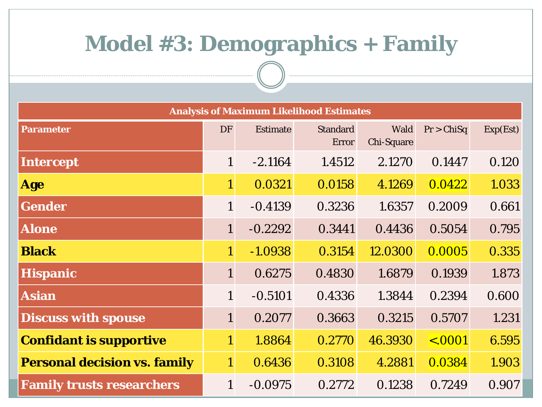#### **Model #3: Demographics + Family**

| <b>Analysis of Maximum Likelihood Estimates</b> |                |                 |                          |                           |              |          |  |  |  |  |
|-------------------------------------------------|----------------|-----------------|--------------------------|---------------------------|--------------|----------|--|--|--|--|
| <b>Parameter</b>                                | <b>DF</b>      | <b>Estimate</b> | <b>Standard</b><br>Error | Wald<br><b>Chi-Square</b> | Pr > ChiSq   | Exp(Est) |  |  |  |  |
| Intercept                                       | $\mathbf{1}$   | $-2.1164$       | 1.4512                   | 2.1270                    | 0.1447       | 0.120    |  |  |  |  |
| <b>Age</b>                                      | $\mathbf{1}$   | 0.0321          | 0.0158                   | 4.1269                    | 0.0422       | 1.033    |  |  |  |  |
| <b>Gender</b>                                   | $\mathbf{1}$   | $-0.4139$       | 0.3236                   | 1.6357                    | 0.2009       | 0.661    |  |  |  |  |
| <b>Alone</b>                                    | $\mathbf{1}$   | $-0.2292$       | 0.3441                   | 0.4436                    | 0.5054       | 0.795    |  |  |  |  |
| <b>Black</b>                                    | $\mathbf{1}$   | $-1.0938$       | 0.3154                   | 12.0300                   | 0.0005       | 0.335    |  |  |  |  |
| <b>Hispanic</b>                                 | $\mathbf{1}$   | 0.6275          | 0.4830                   | 1.6879                    | 0.1939       | 1.873    |  |  |  |  |
| <b>Asian</b>                                    | $\mathbf{1}$   | $-0.5101$       | 0.4336                   | 1.3844                    | 0.2394       | 0.600    |  |  |  |  |
| <b>Discuss with spouse</b>                      | $\mathbf{1}$   | 0.2077          | 0.3663                   | 0.3215                    | 0.5707       | 1.231    |  |  |  |  |
| <b>Confidant is supportive</b>                  | $\overline{1}$ | 1.8864          | 0.2770                   | 46.3930                   | $\leq .0001$ | 6.595    |  |  |  |  |
| <b>Personal decision vs. family</b>             | $1^{\circ}$    | 0.6436          | 0.3108                   | 4.2881                    | 0.0384       | 1.903    |  |  |  |  |
| <b>Family trusts researchers</b>                | $\mathbf{1}$   | $-0.0975$       | 0.2772                   | 0.1238                    | 0.7249       | 0.907    |  |  |  |  |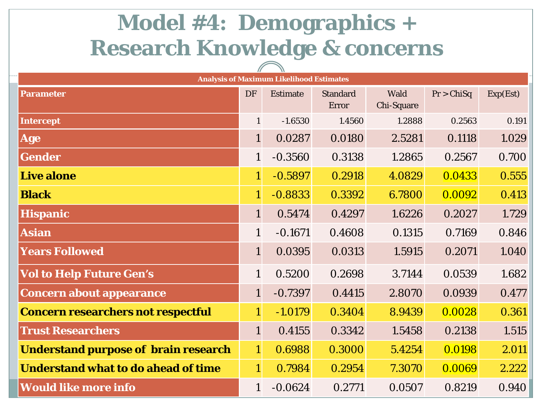# **Model #4: Demographics + Research Knowledge & concerns**

|                                             |              | <b>Analysis of Maximum Likelihood Estimates</b> |                          |                    |            |          |
|---------------------------------------------|--------------|-------------------------------------------------|--------------------------|--------------------|------------|----------|
| <b>Parameter</b>                            | <b>DF</b>    | <b>Estimate</b>                                 | <b>Standard</b><br>Error | Wald<br>Chi-Square | Pr > ChiSq | Exp(Est) |
| Intercept                                   | $\mathbf{1}$ | $-1.6530$                                       | 1.4560                   | 1.2888             | 0.2563     | 0.191    |
| <b>Age</b>                                  | $\mathbf{1}$ | 0.0287                                          | 0.0180                   | 2.5281             | 0.1118     | 1.029    |
| <b>Gender</b>                               | $\mathbf{1}$ | $-0.3560$                                       | 0.3138                   | 1.2865             | 0.2567     | 0.700    |
| <b>Live alone</b>                           | $\mathbf{1}$ | $-0.5897$                                       | 0.2918                   | 4.0829             | 0.0433     | 0.555    |
| <b>Black</b>                                | $\mathbf{1}$ | $-0.8833$                                       | 0.3392                   | 6.7800             | 0.0092     | 0.413    |
| <b>Hispanic</b>                             | $\mathbf{1}$ | 0.5474                                          | 0.4297                   | 1.6226             | 0.2027     | 1.729    |
| <b>Asian</b>                                | $\mathbf{1}$ | $-0.1671$                                       | 0.4608                   | 0.1315             | 0.7169     | 0.846    |
| <b>Years Followed</b>                       | $\mathbf{1}$ | 0.0395                                          | 0.0313                   | 1.5915             | 0.2071     | 1.040    |
| <b>Vol to Help Future Gen's</b>             | $\mathbf{1}$ | 0.5200                                          | 0.2698                   | 3.7144             | 0.0539     | 1.682    |
| <b>Concern about appearance</b>             | $\mathbf{1}$ | $-0.7397$                                       | 0.4415                   | 2.8070             | 0.0939     | 0.477    |
| <b>Concern researchers not respectful</b>   | $\mathbf{1}$ | $-1.0179$                                       | 0.3404                   | 8.9439             | 0.0028     | 0.361    |
| <b>Trust Researchers</b>                    | $\mathbf{1}$ | 0.4155                                          | 0.3342                   | 1.5458             | 0.2138     | 1.515    |
| <b>Understand purpose of brain research</b> | $\mathbf{1}$ | 0.6988                                          | 0.3000                   | 5.4254             | 0.0198     | 2.011    |
| <b>Understand what to do ahead of time</b>  | $\mathbf{1}$ | 0.7984                                          | 0.2954                   | 7.3070             | 0.0069     | 2.222    |
| <b>Would like more info</b>                 | $\mathbf{1}$ | $-0.0624$                                       | 0.2771                   | 0.0507             | 0.8219     | 0.940    |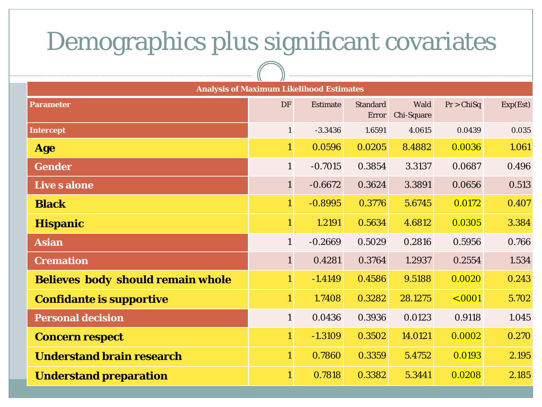### Demographics plus significant covariates

| <b>Analysis of Maximum Likelihood Estimates</b> |                |                 |                          |                    |             |          |  |  |
|-------------------------------------------------|----------------|-----------------|--------------------------|--------------------|-------------|----------|--|--|
| <b>Parameter</b>                                | DF             | <b>Estimate</b> | <b>Standard</b><br>Error | Wald<br>Chi-Square | Pr > ChiSq  | Exp(Est) |  |  |
| Intercept                                       | $\mathbf{1}$   | $-3.3436$       | 1.6591                   | 4.0615             | 0.0439      | 0.035    |  |  |
| <b>Age</b>                                      | $\mathbf{1}$   | 0.0596          | 0.0205                   | 8.4882             | 0.0036      | 1.061    |  |  |
| <b>Gender</b>                                   | $\mathbf{1}$   | $-0.7015$       | 0.3854                   | 3.3137             | 0.0687      | 0.496    |  |  |
| <b>Live s alone</b>                             | $\mathbf{1}$   | $-0.6672$       | 0.3624                   | 3.3891             | 0.0656      | 0.513    |  |  |
| <b>Black</b>                                    | $\mathbf{1}$   | $-0.8995$       | 0.3776                   | 5.6745             | 0.0172      | 0.407    |  |  |
| <b>Hispanic</b>                                 | $\mathbf{1}$   | 1.2191          | 0.5634                   | 4.6812             | 0.0305      | 3.384    |  |  |
| <b>Asian</b>                                    | $\mathbf{1}$   | $-0.2669$       | 0.5029                   | 0.2816             | 0.5956      | 0.766    |  |  |
| <b>Cremation</b>                                | $\mathbf{1}$   | 0.4281          | 0.3764                   | 1.2937             | 0.2554      | 1.534    |  |  |
| <b>Believes body should remain whole</b>        | $\mathbf{1}$   | $-1.4149$       | 0.4586                   | 9.5188             | 0.0020      | 0.243    |  |  |
| <b>Confidante is supportive</b>                 | $\overline{1}$ | 1.7408          | 0.3282                   | 28.1275            | $\sim 0001$ | 5.702    |  |  |
| <b>Personal decision</b>                        | $\mathbf{1}$   | 0.0436          | 0.3936                   | 0.0123             | 0.9118      | 1.045    |  |  |
| <b>Concern respect</b>                          | $\mathbf{1}$   | $-1.3109$       | 0.3502                   | 14.0121            | 0.0002      | 0.270    |  |  |
| <b>Understand brain research</b>                | $\mathbf{1}$   | 0.7860          | 0.3359                   | 5.4752             | 0.0193      | 2.195    |  |  |
| <b>Understand preparation</b>                   | $\mathbf{1}$   | 0.7818          | 0.3382                   | 5.3441             | 0.0208      | 2.185    |  |  |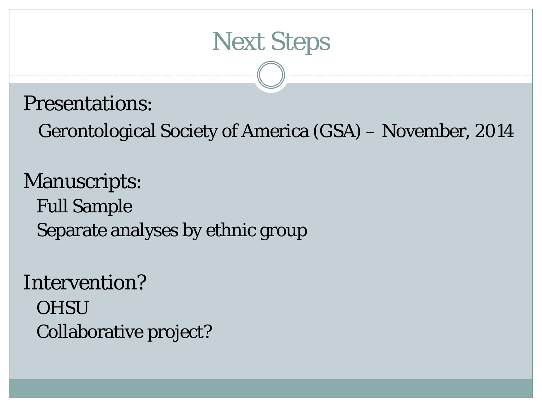

#### Presentations:

Gerontological Society of America (GSA) – November, 2014

Manuscripts: Full Sample Separate analyses by ethnic group

Intervention? **OHSU** Collaborative project?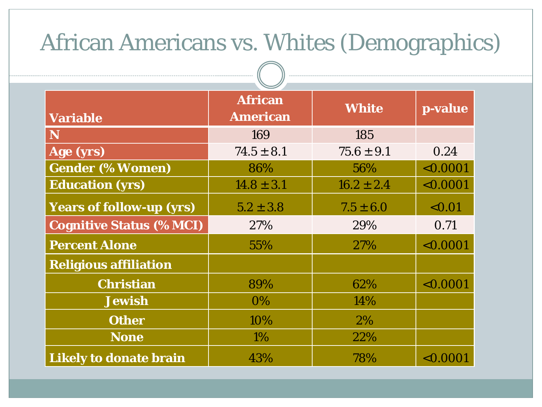### African Americans vs. Whites (Demographics)

| <b>Variable</b>                 | <b>African</b><br><b>American</b> | <b>White</b>   | p-value  |
|---------------------------------|-----------------------------------|----------------|----------|
| N                               | 169                               | 185            |          |
| Age (yrs)                       | $74.5 \pm 8.1$                    | $75.6 \pm 9.1$ | 0.24     |
| <b>Gender (% Women)</b>         | 86%                               | 56%            | < 0.0001 |
| <b>Education (yrs)</b>          | $14.8 \pm 3.1$                    | $16.2 \pm 2.4$ | < 0.0001 |
| <b>Years of follow-up (yrs)</b> | $5.2 \pm 3.8$                     | $7.5 \pm 6.0$  | < 0.01   |
| <b>Cognitive Status (% MCI)</b> | 27%                               | 29%            | 0.71     |
| <b>Percent Alone</b>            | 55%                               | <b>27%</b>     | < 0.0001 |
| <b>Religious affiliation</b>    |                                   |                |          |
| <b>Christian</b>                | 89%                               | 62%            | < 0.0001 |
| <b>Jewish</b>                   | $0\%$                             | 14%            |          |
| <b>Other</b>                    | 10%                               | 2%             |          |
| <b>None</b>                     | 1%                                | 22%            |          |
| <b>Likely to donate brain</b>   | 43%                               | 78%            | < 0.0001 |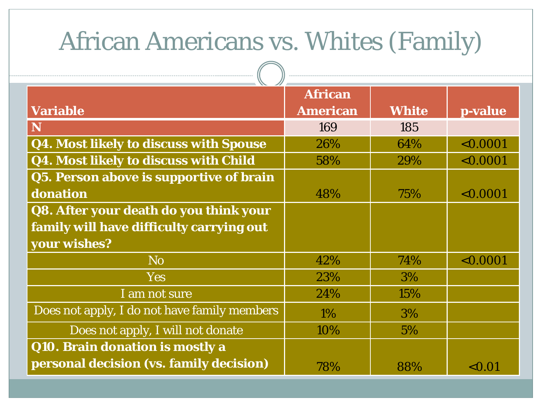# African Americans vs. Whites (Family)

|                                              | <b>African</b>  |              |           |
|----------------------------------------------|-----------------|--------------|-----------|
| <b>Variable</b>                              | <b>American</b> | <b>White</b> | p-value   |
| $\mathbf N$                                  | 169             | 185          |           |
| Q4. Most likely to discuss with Spouse       | 26%             | 64%          | < 0.0001  |
| Q4. Most likely to discuss with Child        | 58%             | 29%          | < 0.0001  |
| Q5. Person above is supportive of brain      |                 |              |           |
| donation                                     | 48%             | 75%          | < 0.0001  |
| Q8. After your death do you think your       |                 |              |           |
| family will have difficulty carrying out     |                 |              |           |
| your wishes?                                 |                 |              |           |
| N <sub>o</sub>                               | 42%             | 74%          | < 0.0001  |
| <b>Yes</b>                                   | 23%             | 3%           |           |
| I am not sure                                | 24%             | 15%          |           |
| Does not apply, I do not have family members | $1\%$           | 3%           |           |
| Does not apply, I will not donate            | 10%             | $5\%$        |           |
| Q10. Brain donation is mostly a              |                 |              |           |
| personal decision (vs. family decision)      | 78%             | 88%          | ${<}0.01$ |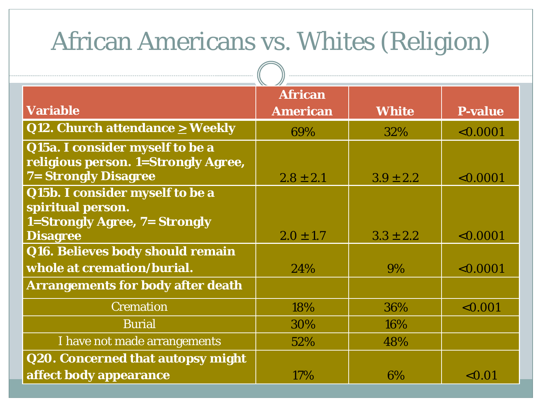# African Americans vs. Whites (Religion)

 $\sqrt{2}$ 

|                                                                                                       | <b>African</b>  |               |                |
|-------------------------------------------------------------------------------------------------------|-----------------|---------------|----------------|
| <b>Variable</b>                                                                                       | <b>American</b> | <b>White</b>  | <b>P-value</b> |
| Q12. Church attendance $\geq$ Weekly                                                                  | 69%             | 32%           | < 0.0001       |
| Q15a. I consider myself to be a<br>religious person. 1=Strongly Agree,<br><b>7= Strongly Disagree</b> | $2.8 \pm 2.1$   | $3.9 \pm 2.2$ | < 0.0001       |
| Q15b. I consider myself to be a<br>spiritual person.                                                  |                 |               |                |
| <b>1=Strongly Agree, 7= Strongly</b><br><b>Disagree</b>                                               | $2.0 \pm 1.7$   | $3.3 \pm 2.2$ | < 0.0001       |
| Q16. Believes body should remain                                                                      |                 |               |                |
| whole at cremation/burial.                                                                            | 24%             | 9%            | < 0.0001       |
| <b>Arrangements for body after death</b>                                                              |                 |               |                |
| <b>Cremation</b>                                                                                      | 18%             | 36%           | < 0.001        |
| <b>Burial</b>                                                                                         | 30%             | 16%           |                |
| I have not made arrangements                                                                          | 52%             | 48%           |                |
| <b>Q20. Concerned that autopsy might</b>                                                              |                 |               |                |
| affect body appearance                                                                                | 17%             | 6%            | < 0.01         |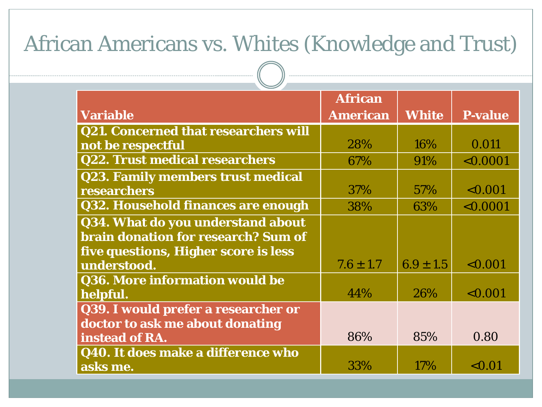#### African Americans vs. Whites (Knowledge and Trust)

|                                             | <b>African</b>  |               |                |
|---------------------------------------------|-----------------|---------------|----------------|
| <b>Variable</b>                             | <b>American</b> | <b>White</b>  | <b>P-value</b> |
| <b>Q21. Concerned that researchers will</b> |                 |               |                |
| not be respectful                           | 28%             | 16%           | 0.011          |
| <b>Q22. Trust medical researchers</b>       | 67%             | 91%           | < 0.0001       |
| <b>Q23. Family members trust medical</b>    |                 |               |                |
| researchers                                 | 37%             | 57%           | < 0.001        |
| Q32. Household finances are enough          | 38%             | 63%           | < 0.0001       |
| Q34. What do you understand about           |                 |               |                |
| brain donation for research? Sum of         |                 |               |                |
| five questions, Higher score is less        |                 |               |                |
| understood.                                 | $7.6 \pm 1.7$   | $6.9 \pm 1.5$ | < 0.001        |
| Q36. More information would be              |                 |               |                |
| helpful.                                    | 44%             | 26%           | < 0.001        |
| Q39. I would prefer a researcher or         |                 |               |                |
| doctor to ask me about donating             |                 |               |                |
| instead of RA.                              | 86%             | 85%           | 0.80           |
| Q40. It does make a difference who          |                 |               |                |
| asks me.                                    | 33%             | 17%           | < 0.01         |